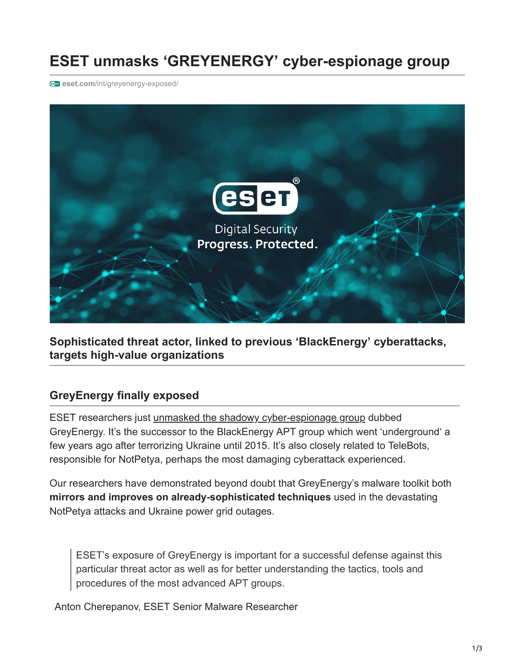# **ESET unmasks 'GREYENERGY' cyber-espionage group**

**en** eset.com[/int/greyenergy-exposed/](https://www.eset.com/int/greyenergy-exposed/)



**Sophisticated threat actor, linked to previous 'BlackEnergy' cyberattacks, targets high-value organizations**

## **GreyEnergy finally exposed**

ESET researchers just [unmasked the shadowy cyber-espionage group](https://www.welivesecurity.com/2018/10/17/greyenergy-updated-arsenal-dangerous-threat-actors/) dubbed GreyEnergy. It's the successor to the BlackEnergy APT group which went 'underground' a few years ago after terrorizing Ukraine until 2015. It's also closely related to TeleBots, responsible for NotPetya, perhaps the most damaging cyberattack experienced.

Our researchers have demonstrated beyond doubt that GreyEnergy's malware toolkit both **mirrors and improves on already-sophisticated techniques** used in the devastating NotPetya attacks and Ukraine power grid outages.

ESET's exposure of GreyEnergy is important for a successful defense against this particular threat actor as well as for better understanding the tactics, tools and procedures of the most advanced APT groups.

Anton Cherepanov, ESET Senior Malware Researcher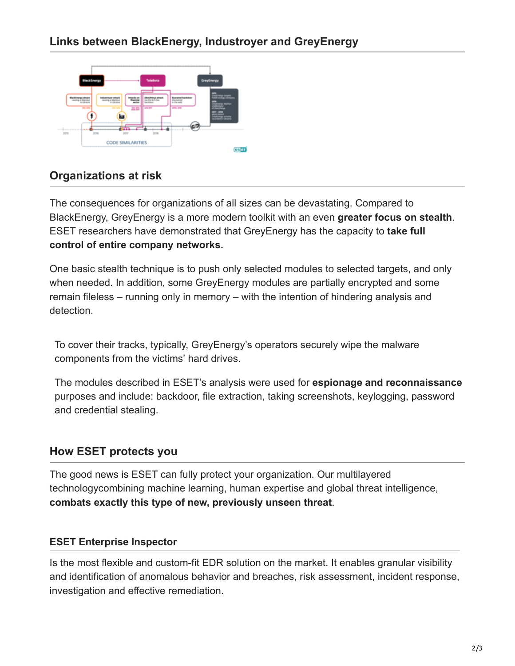

# **Organizations at risk**

The consequences for organizations of all sizes can be devastating. Compared to BlackEnergy, GreyEnergy is a more modern toolkit with an even **greater focus on stealth**. ESET researchers have demonstrated that GreyEnergy has the capacity to **take full control of entire company networks.**

One basic stealth technique is to push only selected modules to selected targets, and only when needed. In addition, some GreyEnergy modules are partially encrypted and some remain fileless – running only in memory – with the intention of hindering analysis and detection.

To cover their tracks, typically, GreyEnergy's operators securely wipe the malware components from the victims' hard drives.

The modules described in ESET's analysis were used for **espionage and reconnaissance** purposes and include: backdoor, file extraction, taking screenshots, keylogging, password and credential stealing.

## **How ESET protects you**

The good news is ESET can fully protect your organization. Our multilayered technologycombining machine learning, human expertise and global threat intelligence, **combats exactly this type of new, previously unseen threat**.

#### **ESET Enterprise Inspector**

Is the most flexible and custom-fit EDR solution on the market. It enables granular visibility and identification of anomalous behavior and breaches, risk assessment, incident response, investigation and effective remediation.